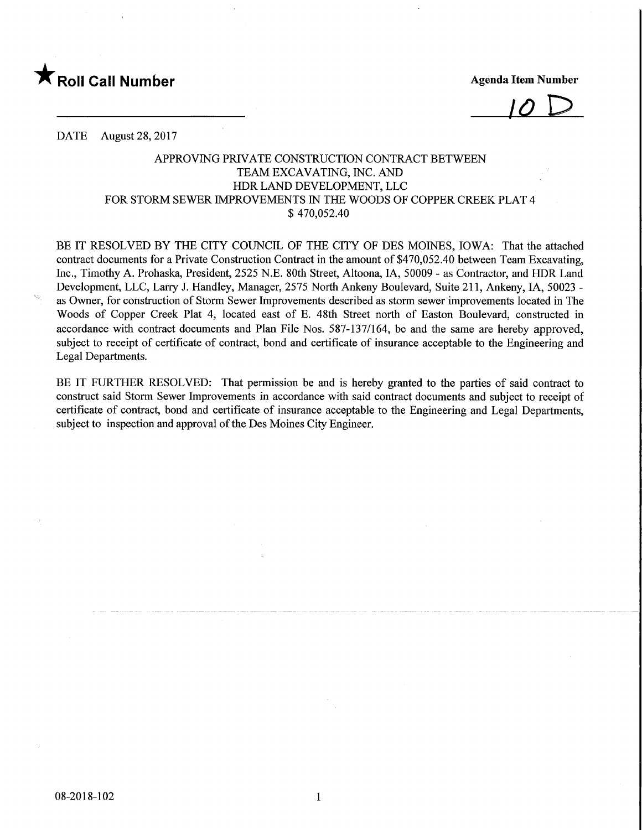

 $\overline{10}$ 

DATE August 28, 2017

## APPROVING PRIVATE CONSTRUCTION CONTRACT BETWEEN TEAM EXCAVATING, INC. AND HDR LAND DEVELOPMENT, LLC FOR STORM SEWER IMPROVEMENTS IN THE WOODS OF COPPER CREEK PLAT 4 \$ 470,052.40

BE IT RESOLVED BY THE CITY COUNCIL OF THE CITY OF DES MOINES, IOWA: That the attached contract documents for a Private Construction Contract in the amount of \$470,052.40 between Team Excavating, Inc., Timothy A. Prohaska, President, 2525 N.E. 80th Street, Altoona, IA, 50009 - as Contractor, and HDR Land Development, LLC, Larry J. Handley, Manager, 2575 North Ankeny Boulevard, Suite 211, Ankeny, IA, 50023 as Owner, for construction of Storm Sewer Improvements described as storm sewer improvements located in The Woods of Copper Creek Plat 4, located east of E. 48th Street north of Easton Boulevard, constructed in accordance with contract documents and Plan File Nos. 587-137/164, be and the same are hereby approved, subject to receipt of certificate of contract, bond and certificate of insurance acceptable to the Engineering and Legal Departments.

BE IT FURTHER RESOLVED: That permission be and is hereby granted to the parties of said contract to construct said Storm Sewer Improvements in accordance with said contract documents and subject to receipt of certificate of contract, bond and certificate of insurance acceptable to the Engineering and Legal Departments, subject to inspection and approval of the Des Moines City Engineer.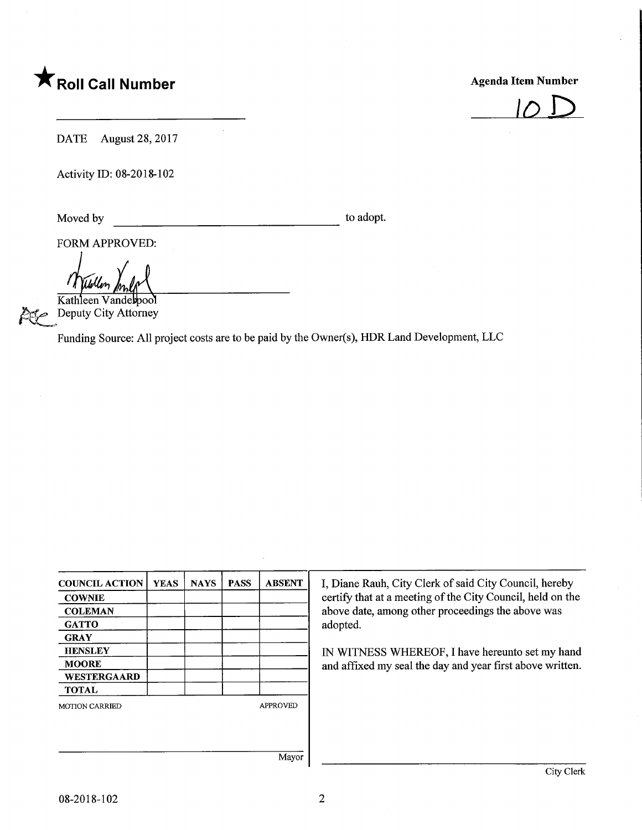## **The Solid Call Number Agenda Item Number** Agenda Item Number



DATE August 28, 2017

Activity ID: 08-2018-102

Moved by to adopt.

FORM APPROVED:

Ullen

Kathleen Vandelpool Deputy City Attorney

Funding Source: All project costs are to be paid by the Owner(s), HDR Land Development, LLC

| <b>COUNCIL ACTION</b> | <b>YEAS</b>     | <b>NAYS</b> | <b>PASS</b> | <b>ABSENT</b> | I, Diane Rauh, City Clerk of said City Council, hereby                                                                                                                        |  |  |
|-----------------------|-----------------|-------------|-------------|---------------|-------------------------------------------------------------------------------------------------------------------------------------------------------------------------------|--|--|
| <b>COWNIE</b>         |                 |             |             |               | certify that at a meeting of the City Council, held on the                                                                                                                    |  |  |
| <b>COLEMAN</b>        |                 |             |             |               | above date, among other proceedings the above was<br>adopted.<br>IN WITNESS WHEREOF, I have hereunto set my hand<br>and affixed my seal the day and year first above written. |  |  |
| <b>GATTO</b>          |                 |             |             |               |                                                                                                                                                                               |  |  |
| <b>GRAY</b>           |                 |             |             |               |                                                                                                                                                                               |  |  |
| <b>HENSLEY</b>        |                 |             |             |               |                                                                                                                                                                               |  |  |
| <b>MOORE</b>          |                 |             |             |               |                                                                                                                                                                               |  |  |
| <b>WESTERGAARD</b>    |                 |             |             |               |                                                                                                                                                                               |  |  |
| <b>TOTAL</b>          |                 |             |             |               |                                                                                                                                                                               |  |  |
| <b>MOTION CARRIED</b> | <b>APPROVED</b> |             |             |               |                                                                                                                                                                               |  |  |
|                       |                 |             |             |               |                                                                                                                                                                               |  |  |
|                       |                 |             |             |               |                                                                                                                                                                               |  |  |
|                       |                 |             |             |               |                                                                                                                                                                               |  |  |
|                       |                 |             |             | Mayor         |                                                                                                                                                                               |  |  |
|                       |                 |             |             |               | City Clerk                                                                                                                                                                    |  |  |